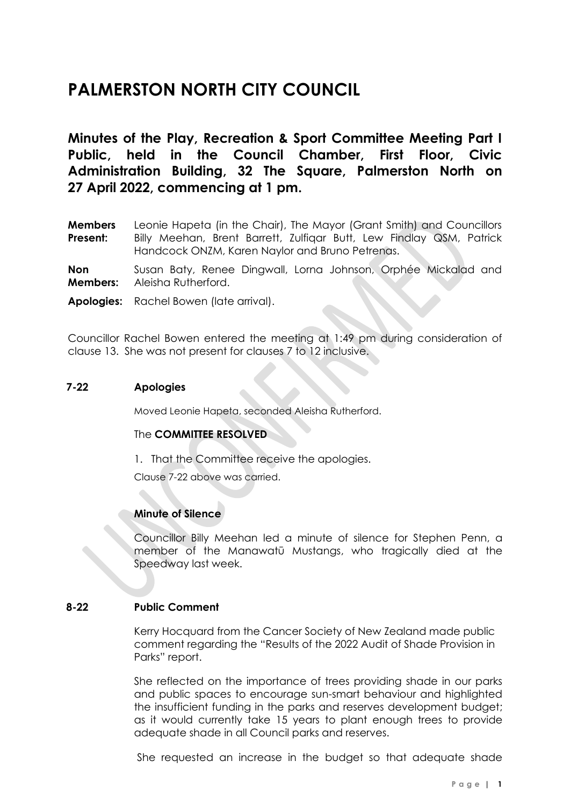# **PALMERSTON NORTH CITY COUNCIL**

**Minutes of the Play, Recreation & Sport Committee Meeting Part I Public, held in the Council Chamber, First Floor, Civic Administration Building, 32 The Square, Palmerston North on 27 April 2022, commencing at 1 pm.**

**Members Present:** Leonie Hapeta (in the Chair), The Mayor (Grant Smith) and Councillors Billy Meehan, Brent Barrett, Zulfiqar Butt, Lew Findlay QSM, Patrick Handcock ONZM, Karen Naylor and Bruno Petrenas.

**Non Members:** Susan Baty, Renee Dingwall, Lorna Johnson, Orphée Mickalad and Aleisha Rutherford.

**Apologies:** Rachel Bowen (late arrival).

Councillor Rachel Bowen entered the meeting at 1:49 pm during consideration of clause 13. She was not present for clauses 7 to 12 inclusive.

### **7-22 Apologies**

Moved Leonie Hapeta, seconded Aleisha Rutherford.

#### The **COMMITTEE RESOLVED**

1. That the Committee receive the apologies.

Clause 7-22 above was carried.

### **Minute of Silence**

Councillor Billy Meehan led a minute of silence for Stephen Penn, a member of the Manawatū Mustangs, who tragically died at the Speedway last week.

#### **8-22 Public Comment**

Kerry Hocquard from the Cancer Society of New Zealand made public comment regarding the "Results of the 2022 Audit of Shade Provision in Parks" report.

She reflected on the importance of trees providing shade in our parks and public spaces to encourage sun-smart behaviour and highlighted the insufficient funding in the parks and reserves development budget; as it would currently take 15 years to plant enough trees to provide adequate shade in all Council parks and reserves.

She requested an increase in the budget so that adequate shade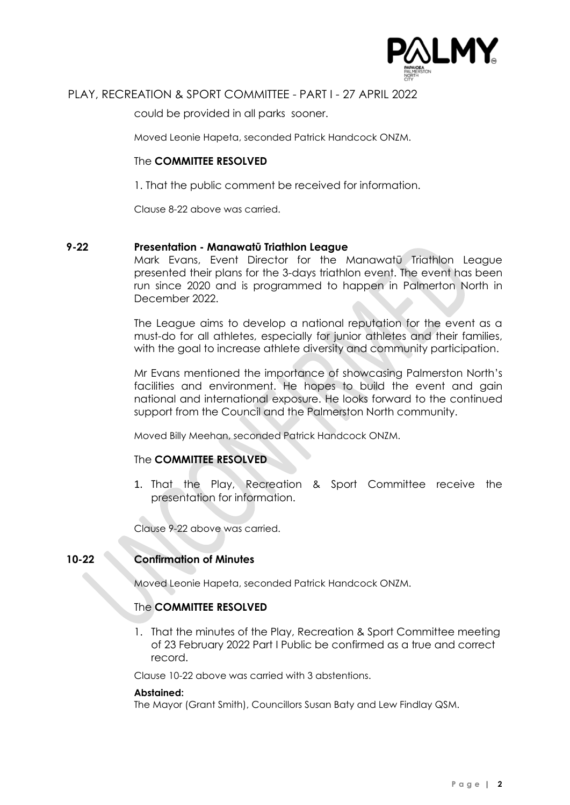

# PLAY, RECREATION & SPORT COMMITTEE - PART I - 27 APRIL 2022

could be provided in all parks sooner.

Moved Leonie Hapeta, seconded Patrick Handcock ONZM.

### The **COMMITTEE RESOLVED**

1. That the public comment be received for information.

Clause 8-22 above was carried.

### **9-22 Presentation - Manawatū Triathlon League**

Mark Evans, Event Director for the Manawatū Triathlon League presented their plans for the 3-days triathlon event. The event has been run since 2020 and is programmed to happen in Palmerton North in December 2022.

The League aims to develop a national reputation for the event as a must-do for all athletes, especially for junior athletes and their families, with the goal to increase athlete diversity and community participation.

Mr Evans mentioned the importance of showcasing Palmerston North's facilities and environment. He hopes to build the event and gain national and international exposure. He looks forward to the continued support from the Council and the Palmerston North community.

Moved Billy Meehan, seconded Patrick Handcock ONZM.

### The **COMMITTEE RESOLVED**

1. That the Play, Recreation & Sport Committee receive the presentation for information.

Clause 9-22 above was carried.

## **10-22 Confirmation of Minutes**

Moved Leonie Hapeta, seconded Patrick Handcock ONZM.

### The **COMMITTEE RESOLVED**

1. That the minutes of the Play, Recreation & Sport Committee meeting of 23 February 2022 Part I Public be confirmed as a true and correct record.

Clause 10-22 above was carried with 3 abstentions.

#### **Abstained:**

The Mayor (Grant Smith), Councillors Susan Baty and Lew Findlay QSM.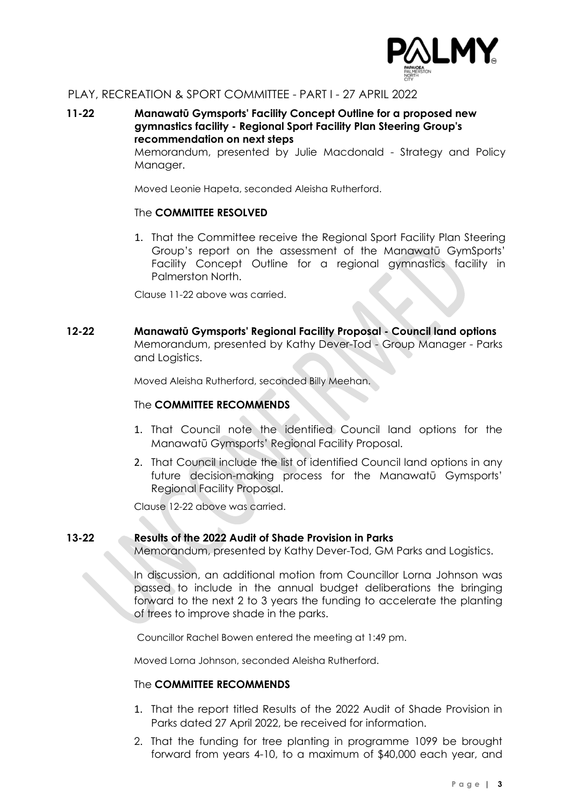

# PLAY, RECREATION & SPORT COMMITTEE - PART I - 27 APRIL 2022

### **11-22 Manawatū Gymsports' Facility Concept Outline for a proposed new gymnastics facility - Regional Sport Facility Plan Steering Group's recommendation on next steps**

Memorandum, presented by Julie Macdonald - Strategy and Policy Manager.

Moved Leonie Hapeta, seconded Aleisha Rutherford.

### The **COMMITTEE RESOLVED**

1. That the Committee receive the Regional Sport Facility Plan Steering Group's report on the assessment of the Manawatū GymSports' Facility Concept Outline for a regional gymnastics facility in Palmerston North.

Clause 11-22 above was carried.

**12-22 Manawatū Gymsports' Regional Facility Proposal - Council land options** Memorandum, presented by Kathy Dever-Tod - Group Manager - Parks and Logistics.

Moved Aleisha Rutherford, seconded Billy Meehan.

### The **COMMITTEE RECOMMENDS**

- 1. That Council note the identified Council land options for the Manawatū Gymsports' Regional Facility Proposal.
- 2. That Council include the list of identified Council land options in any future decision-making process for the Manawatū Gymsports' Regional Facility Proposal.

Clause 12-22 above was carried.

### **13-22 Results of the 2022 Audit of Shade Provision in Parks**

Memorandum, presented by Kathy Dever-Tod, GM Parks and Logistics.

In discussion, an additional motion from Councillor Lorna Johnson was passed to include in the annual budget deliberations the bringing forward to the next 2 to 3 years the funding to accelerate the planting of trees to improve shade in the parks.

Councillor Rachel Bowen entered the meeting at 1:49 pm.

Moved Lorna Johnson, seconded Aleisha Rutherford.

### The **COMMITTEE RECOMMENDS**

- 1. That the report titled Results of the 2022 Audit of Shade Provision in Parks dated 27 April 2022, be received for information.
- 2. That the funding for tree planting in programme 1099 be brought forward from years 4-10, to a maximum of \$40,000 each year, and